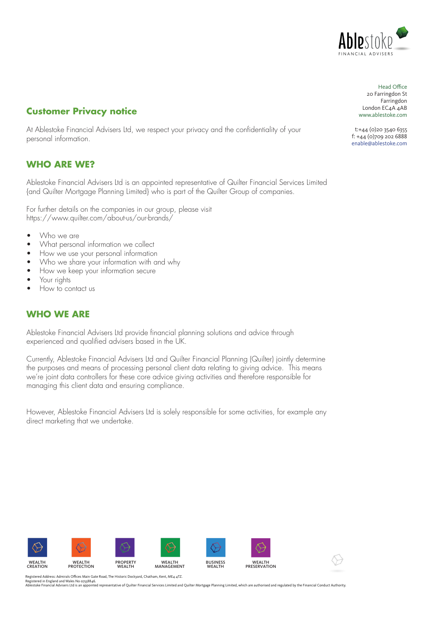

# **Customer Privacy notice**

At Ablestoke Financial Advisers Ltd, we respect your privacy and the confidentiality of your personal information.

### **WHO ARE WE?**

Ablestoke Financial Advisers Ltd is an appointed representative of Quilter Financial Services Limited {and Quilter Mortgage Planning Limited} who is part of the Quilter Group of companies.

For further details on the companies in our group, please visit https://www.quilter.com/about-us/our-brands/

- Who we are
- What personal information we collect
- How we use your personal information
- Who we share your information with and why
- How we keep your information secure
- Your rights
- How to contact us

### **WHO WE ARE**

Ablestoke Financial Advisers Ltd provide financial planning solutions and advice through experienced and qualified advisers based in the UK.

Currently, Ablestoke Financial Advisers Ltd and Quilter Financial Planning (Quilter) jointly determine the purposes and means of processing personal client data relating to giving advice. This means we're joint data controllers for these core advice giving activities and therefore responsible for managing this client data and ensuring compliance.

However, Ablestoke Financial Advisers Ltd is solely responsible for some activities, for example any direct marketing that we undertake.



Registered Address: Admirals Offices Main Gate Road, The Historic Dockyard, Chatham, Kent, ME4 4TZ.<br>Registered in England and Wales No 0758846.<br>Ablestoke Financial Advisers Ltd is an appointed representative of Quilter Fin

Head Office: Head Office 20 Farringdon St Farringdon London EC4A 4AB www.ablestoke.com Head Office<br>20 Farringdon St<br>Farringdon<br>London EC4A 4AB<br>www.ablestoke.com<br>t:+44 (0)20 3540 6355

t: +44 (0) 20 3540 6355 f: +44(0)709 202 6888 f: +44 (0)709 202 6888 enable@ablestoke.com enable@ablestoke.com f: +44 (0)709 202 6888enable@ablestoke.com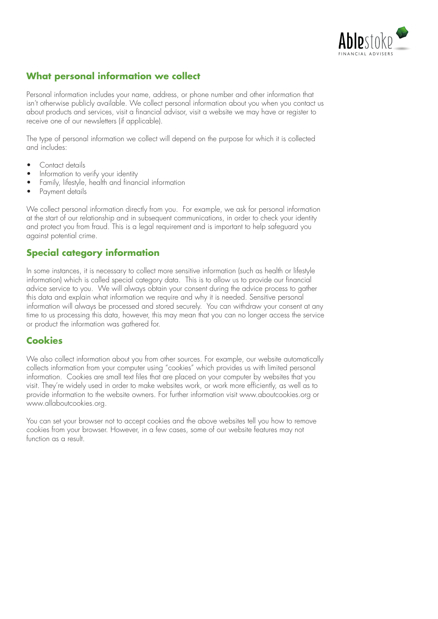

# **What personal information we collect**

Personal information includes your name, address, or phone number and other information that isn't otherwise publicly available. We collect personal information about you when you contact us about products and services, visit a financial advisor, visit a website we may have or register to receive one of our newsletters (if applicable).

The type of personal information we collect will depend on the purpose for which it is collected and includes:

- Contact details
- Information to verify your identity
- Family, lifestyle, health and financial information
- Payment details

We collect personal information directly from you. For example, we ask for personal information at the start of our relationship and in subsequent communications, in order to check your identity and protect you from fraud. This is a legal requirement and is important to help safeguard you against potential crime.

## **Special category information**

In some instances, it is necessary to collect more sensitive information (such as health or lifestyle information) which is called special category data. This is to allow us to provide our financial advice service to you. We will always obtain your consent during the advice process to gather this data and explain what information we require and why it is needed. Sensitive personal information will always be processed and stored securely. You can withdraw your consent at any time to us processing this data, however, this may mean that you can no longer access the service or product the information was gathered for.

#### **Cookies**

We also collect information about you from other sources. For example, our website automatically collects information from your computer using "cookies" which provides us with limited personal information. Cookies are small text files that are placed on your computer by websites that you visit. They're widely used in order to make websites work, or work more efficiently, as well as to provide information to the website owners. For further information visit www.aboutcookies.org or www.allaboutcookies.org.

You can set your browser not to accept cookies and the above websites tell you how to remove cookies from your browser. However, in a few cases, some of our website features may not function as a result.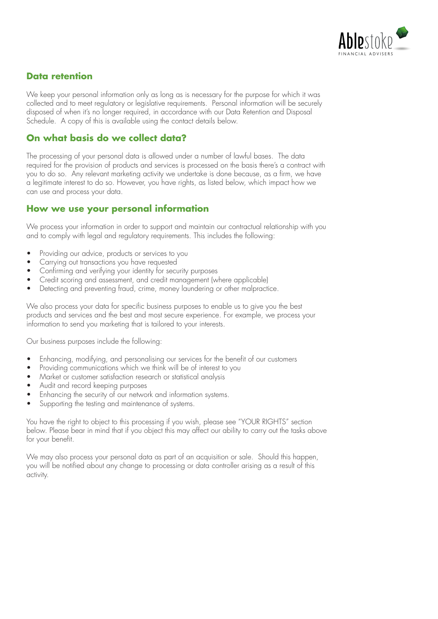

# **Data retention**

We keep your personal information only as long as is necessary for the purpose for which it was collected and to meet regulatory or legislative requirements. Personal information will be securely disposed of when it's no longer required, in accordance with our Data Retention and Disposal Schedule. A copy of this is available using the contact details below.

#### **On what basis do we collect data?**

The processing of your personal data is allowed under a number of lawful bases. The data required for the provision of products and services is processed on the basis there's a contract with you to do so. Any relevant marketing activity we undertake is done because, as a firm, we have a legitimate interest to do so. However, you have rights, as listed below, which impact how we can use and process your data.

#### **How we use your personal information**

We process your information in order to support and maintain our contractual relationship with you and to comply with legal and regulatory requirements. This includes the following:

- Providing our advice, products or services to you
- Carrying out transactions you have requested
- Confirming and verifying your identity for security purposes
- Credit scoring and assessment, and credit management (where applicable)
- Detecting and preventing fraud, crime, money laundering or other malpractice.

We also process your data for specific business purposes to enable us to give you the best products and services and the best and most secure experience. For example, we process your information to send you marketing that is tailored to your interests.

Our business purposes include the following:

- Enhancing, modifying, and personalising our services for the benefit of our customers
- Providing communications which we think will be of interest to you
- Market or customer satisfaction research or statistical analysis
- Audit and record keeping purposes
- Enhancing the security of our network and information systems.
- Supporting the testing and maintenance of systems.

You have the right to object to this processing if you wish, please see "YOUR RIGHTS" section below. Please bear in mind that if you object this may affect our ability to carry out the tasks above for your benefit.

We may also process your personal data as part of an acquisition or sale. Should this happen, you will be notified about any change to processing or data controller arising as a result of this activity.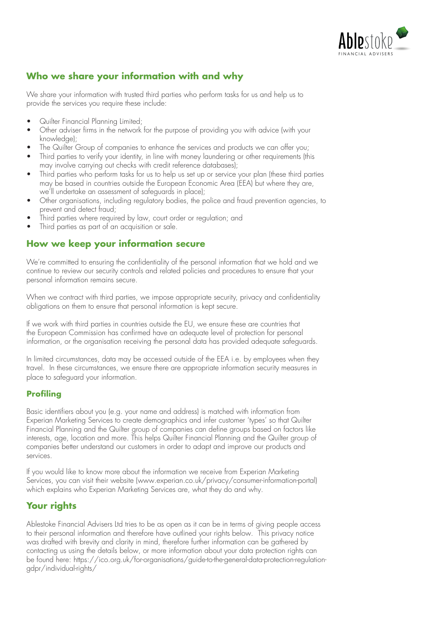

# **Who we share your information with and why**

We share your information with trusted third parties who perform tasks for us and help us to provide the services you require these include:

- Quilter Financial Planning Limited;
- Other adviser firms in the network for the purpose of providing you with advice (with your knowledge);
- The Quilter Group of companies to enhance the services and products we can offer you;
- Third parties to verify your identity, in line with money laundering or other requirements (this may involve carrying out checks with credit reference databases);
- Third parties who perform tasks for us to help us set up or service your plan (these third parties may be based in countries outside the European Economic Area (EEA) but where they are, we'll undertake an assessment of safeguards in place);
- Other organisations, including regulatory bodies, the police and fraud prevention agencies, to prevent and detect fraud;
- Third parties where required by law, court order or regulation; and
- Third parties as part of an acquisition or sale.

### **How we keep your information secure**

We're committed to ensuring the confidentiality of the personal information that we hold and we continue to review our security controls and related policies and procedures to ensure that your personal information remains secure.

When we contract with third parties, we impose appropriate security, privacy and confidentiality obligations on them to ensure that personal information is kept secure.

If we work with third parties in countries outside the EU, we ensure these are countries that the European Commission has confirmed have an adequate level of protection for personal information, or the organisation receiving the personal data has provided adequate safeguards.

In limited circumstances, data may be accessed outside of the EEA i.e. by employees when they travel. In these circumstances, we ensure there are appropriate information security measures in place to safeguard your information.

#### **Profiling**

Basic identifiers about you (e.g. your name and address) is matched with information from Experian Marketing Services to create demographics and infer customer 'types' so that Quilter Financial Planning and the Quilter group of companies can define groups based on factors like interests, age, location and more. This helps Quilter Financial Planning and the Quilter group of companies better understand our customers in order to adapt and improve our products and services.

If you would like to know more about the information we receive from Experian Marketing Services, you can visit their website (www.experian.co.uk/privacy/consumer-information-portal) which explains who Experian Marketing Services are, what they do and why.

## **Your rights**

Ablestoke Financial Advisers Ltd tries to be as open as it can be in terms of giving people access to their personal information and therefore have outlined your rights below. This privacy notice was drafted with brevity and clarity in mind, therefore further information can be gathered by contacting us using the details below, or more information about your data protection rights can be found here: https://ico.org.uk/for-organisations/guide-to-the-general-data-protection-regulationgdpr/individual-rights/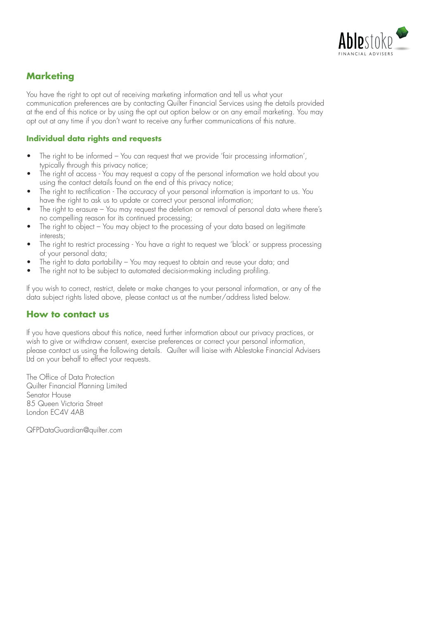

# **Marketing**

You have the right to opt out of receiving marketing information and tell us what your communication preferences are by contacting Quilter Financial Services using the details provided at the end of this notice or by using the opt out option below or on any email marketing. You may opt out at any time if you don't want to receive any further communications of this nature.

#### **Individual data rights and requests**

- The right to be informed You can request that we provide 'fair processing information', typically through this privacy notice;
- The right of access You may request a copy of the personal information we hold about you using the contact details found on the end of this privacy notice;
- The right to rectification The accuracy of your personal information is important to us. You have the right to ask us to update or correct your personal information;
- The right to erasure You may request the deletion or removal of personal data where there's no compelling reason for its continued processing;
- The right to object You may object to the processing of your data based on legitimate interests;
- The right to restrict processing You have a right to request we 'block' or suppress processing of your personal data;
- The right to data portability You may request to obtain and reuse your data; and
- The right not to be subject to automated decision-making including profiling.

If you wish to correct, restrict, delete or make changes to your personal information, or any of the data subject rights listed above, please contact us at the number/address listed below.

#### **How to contact us**

If you have questions about this notice, need further information about our privacy practices, or wish to give or withdraw consent, exercise preferences or correct your personal information, please contact us using the following details. Quilter will liaise with Ablestoke Financial Advisers Ltd on your behalf to effect your requests.

The Office of Data Protection Quilter Financial Planning Limited Senator House 85 Queen Victoria Street London EC4V 4AB

QFPDataGuardian@quilter.com